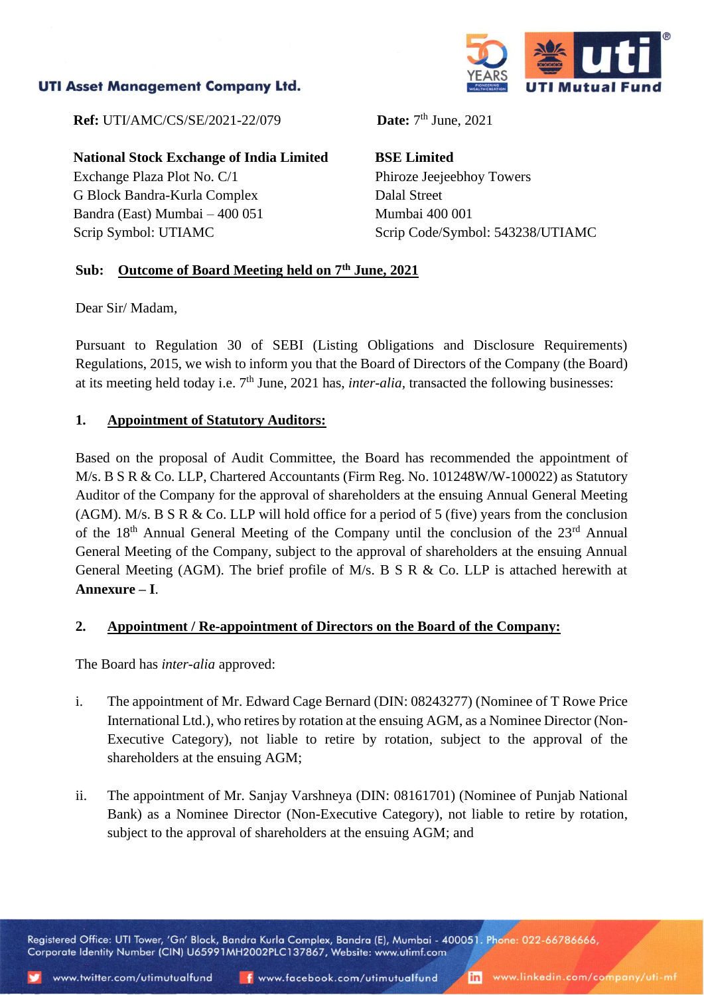# **UTI Asset Management Company Ltd.**



**Ref:** UTI/AMC/CS/SE/2021-22/079

**National Stock Exchange of India Limited** Exchange Plaza Plot No. C/1 G Block Bandra-Kurla Complex Bandra (East) Mumbai – 400 051 Scrip Symbol: UTIAMC

Date:  $7<sup>th</sup>$  June, 2021

**BSE Limited** Phiroze Jeejeebhoy Towers Dalal Street Mumbai 400 001 Scrip Code/Symbol: 543238/UTIAMC

## **Sub: Outcome of Board Meeting held on 7th June, 2021**

Dear Sir/ Madam,

Pursuant to Regulation 30 of SEBI (Listing Obligations and Disclosure Requirements) Regulations, 2015, we wish to inform you that the Board of Directors of the Company (the Board) at its meeting held today i.e. 7th June, 2021 has, *inter-alia,* transacted the following businesses:

## **1. Appointment of Statutory Auditors:**

Based on the proposal of Audit Committee, the Board has recommended the appointment of M/s. B S R & Co. LLP, Chartered Accountants (Firm Reg. No. 101248W/W-100022) as Statutory Auditor of the Company for the approval of shareholders at the ensuing Annual General Meeting (AGM). M/s. B S R & Co. LLP will hold office for a period of 5 (five) years from the conclusion of the 18<sup>th</sup> Annual General Meeting of the Company until the conclusion of the 23<sup>rd</sup> Annual General Meeting of the Company, subject to the approval of shareholders at the ensuing Annual General Meeting (AGM). The brief profile of M/s. B S R & Co. LLP is attached herewith at **Annexure – I**.

## **2. Appointment / Re-appointment of Directors on the Board of the Company:**

The Board has *inter-alia* approved:

- i. The appointment of Mr. Edward Cage Bernard (DIN: 08243277) (Nominee of T Rowe Price International Ltd.), who retires by rotation at the ensuing AGM, as a Nominee Director (Non-Executive Category), not liable to retire by rotation, subject to the approval of the shareholders at the ensuing AGM;
- ii. The appointment of Mr. Sanjay Varshneya (DIN: 08161701) (Nominee of Punjab National Bank) as a Nominee Director (Non-Executive Category), not liable to retire by rotation, subject to the approval of shareholders at the ensuing AGM; and

Registered Office: UTI Tower, 'Gn' Block, Bandra Kurla Complex, Bandra (E), Mumbai - 400051. Phone: 022-66786666, Corporate Identity Number (CIN) U65991MH2002PLC137867, Website: www.utimf.com

inl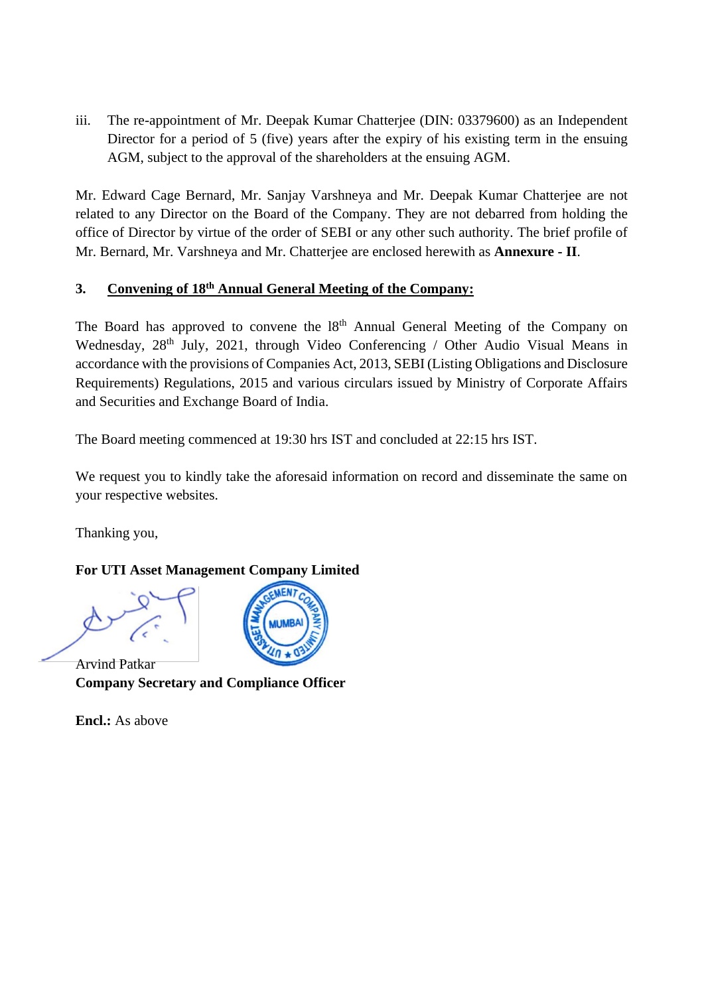iii. The re-appointment of Mr. Deepak Kumar Chatterjee (DIN: 03379600) as an Independent Director for a period of 5 (five) years after the expiry of his existing term in the ensuing AGM, subject to the approval of the shareholders at the ensuing AGM.

Mr. Edward Cage Bernard, Mr. Sanjay Varshneya and Mr. Deepak Kumar Chatterjee are not related to any Director on the Board of the Company. They are not debarred from holding the office of Director by virtue of the order of SEBI or any other such authority. The brief profile of Mr. Bernard, Mr. Varshneya and Mr. Chatterjee are enclosed herewith as **Annexure - II**.

# **3. Convening of 18th Annual General Meeting of the Company:**

The Board has approved to convene the 18<sup>th</sup> Annual General Meeting of the Company on Wednesday, 28<sup>th</sup> July, 2021, through Video Conferencing / Other Audio Visual Means in accordance with the provisions of Companies Act, 2013, SEBI (Listing Obligations and Disclosure Requirements) Regulations, 2015 and various circulars issued by Ministry of Corporate Affairs and Securities and Exchange Board of India.

The Board meeting commenced at 19:30 hrs IST and concluded at 22:15 hrs IST.

We request you to kindly take the aforesaid information on record and disseminate the same on your respective websites.

Thanking you,

# **For UTI Asset Management Company Limited**

Arvind Patkar **Company Secretary and Compliance Officer**

**Encl.:** As above

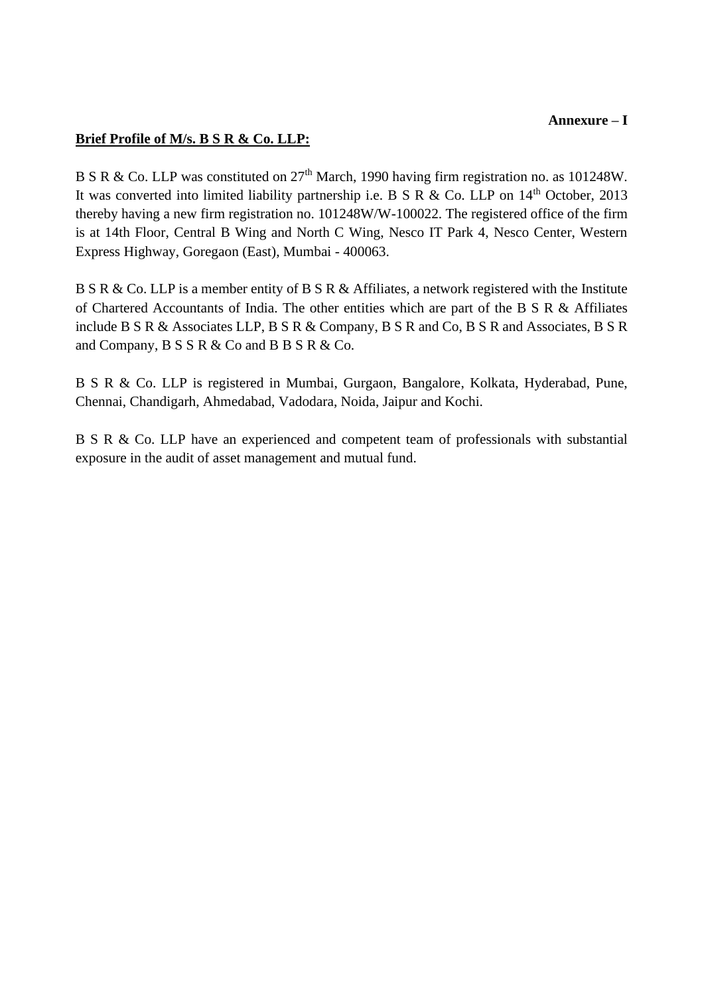#### **Annexure – I**

# **Brief Profile of M/s. B S R & Co. LLP:**

B S R & Co. LLP was constituted on  $27<sup>th</sup>$  March, 1990 having firm registration no. as 101248W. It was converted into limited liability partnership i.e. B S R & Co. LLP on  $14<sup>th</sup>$  October, 2013 thereby having a new firm registration no. 101248W/W-100022. The registered office of the firm is at 14th Floor, Central B Wing and North C Wing, Nesco IT Park 4, Nesco Center, Western Express Highway, Goregaon (East), Mumbai - 400063.

B S R & Co. LLP is a member entity of B S R & Affiliates, a network registered with the Institute of Chartered Accountants of India. The other entities which are part of the B S R & Affiliates include B S R & Associates LLP, B S R & Company, B S R and Co, B S R and Associates, B S R and Company, B S S R & Co and B B S R & Co.

B S R & Co. LLP is registered in Mumbai, Gurgaon, Bangalore, Kolkata, Hyderabad, Pune, Chennai, Chandigarh, Ahmedabad, Vadodara, Noida, Jaipur and Kochi.

B S R & Co. LLP have an experienced and competent team of professionals with substantial exposure in the audit of asset management and mutual fund.